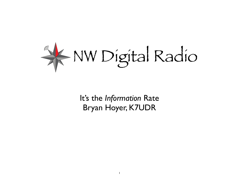

It's the *Information* Rate Bryan Hoyer, K7UDR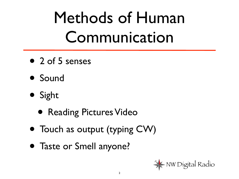# Methods of Human Communication

- 2 of 5 senses
- Sound
- Sight
	- Reading Pictures Video
- Touch as output (typing CW)
- Taste or Smell anyone?

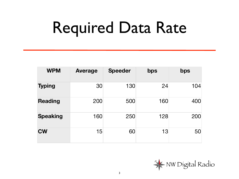# Required Data Rate

| <b>WPM</b>      | <b>Average</b> | <b>Speeder</b> | bps | bps |
|-----------------|----------------|----------------|-----|-----|
| <b>Typing</b>   | 30             | 130            | 24  | 104 |
| <b>Reading</b>  | 200            | 500            | 160 | 400 |
| <b>Speaking</b> | 160            | 250            | 128 | 200 |
| <b>CW</b>       | 15             | 60             | 13  | 50  |

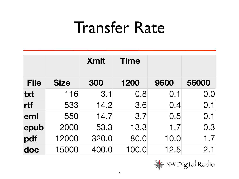#### Transfer Rate

|             |             | <b>Xmit</b> | <b>Time</b> |      |       |
|-------------|-------------|-------------|-------------|------|-------|
| <b>File</b> | <b>Size</b> | 300         | 1200        | 9600 | 56000 |
| txt         | 116         | 3.1         | 0.8         | 0.1  | 0.0   |
| rtf         | 533         | 14.2        | 3.6         | 0.4  | 0.1   |
| eml         | 550         | 14.7        | 3.7         | 0.5  | 0.1   |
| epub        | 2000        | 53.3        | 13.3        | 1.7  | 0.3   |
| pdf         | 12000       | 320.0       | 80.0        | 10.0 | 1.7   |
| doc         | 15000       | 400.0       | 100.0       | 12.5 | 2.1   |

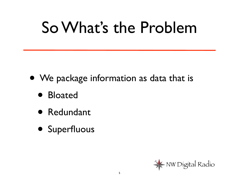#### So What's the Problem

- We package information as data that is
	- Bloated
	- Redundant
	- Superfluous

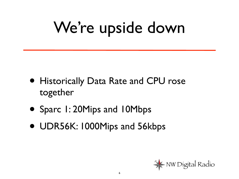# We're upside down

- Historically Data Rate and CPU rose together
- Sparc 1: 20Mips and 10Mbps
- UDR56K: 1000Mips and 56kbps

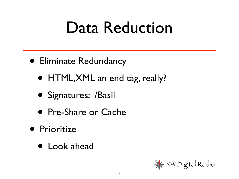#### Data Reduction

- Eliminate Redundancy
	- HTML,XML an end tag, really?
	- Signatures: /Basil
	- Pre-Share or Cache
- **Prioritize** 
	- Look ahead

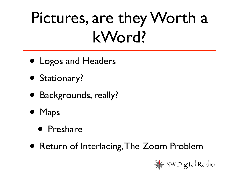# Pictures, are they Worth a kWord?

- Logos and Headers
- Stationary?
- Backgrounds, really?
- Maps
	- Preshare
- Return of Interlacing, The Zoom Problem

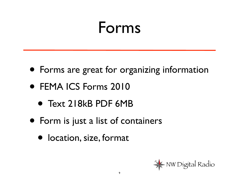#### Forms

- Forms are great for organizing information
- FEMA ICS Forms 2010
	- Text 218kB PDF 6MB
- Form is just a list of containers
	- location, size, format

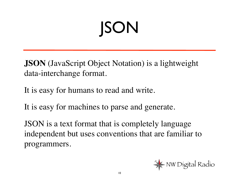# JSON

**JSON** (JavaScript Object Notation) is a lightweight data-interchange format.

It is easy for humans to read and write.

It is easy for machines to parse and generate.

JSON is a text format that is completely language independent but uses conventions that are familiar to programmers.

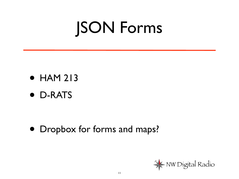## JSON Forms

- HAM 213
- D-RATS

• Dropbox for forms and maps?

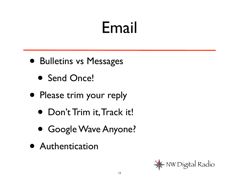### Email

- Bulletins vs Messages
	- Send Once!
- Please trim your reply
	- Don't Trim it, Track it!
	- Google Wave Anyone?
- Authentication

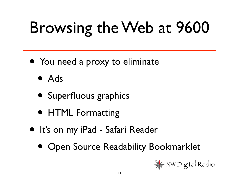# Browsing the Web at 9600

- You need a proxy to eliminate
	- Ads
	- Superfluous graphics
	- HTML Formatting
- It's on my iPad Safari Reader
	- Open Source Readability Bookmarklet

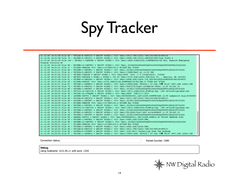### Spy Tracker

| 31.12.69 16:31:48 File 66 - VE7LAD-8->APT310 v UBC39* WIDE2-1 <ui> Text:14914.79N/12253.74W[193/000/A-000144</ui>                                             |  |
|---------------------------------------------------------------------------------------------------------------------------------------------------------------|--|
| 31.12.69 16:31:48 File 70 - VA7KKK-9->APT311 v UBC39* WIDE2-1 <ui> Text:14908.19N/12310.16W&gt;000/000/Tiny Track 3</ui>                                      |  |
| 31.12.69 16:31:49 File 104 - VE7SLC-7->APN382 v UBC39* WIDE2-1 <ui> Text:14830.01NS12322.31W#PHG4534/W2 BCn, Saanich Emergency</ui>                           |  |
| Program Victoria BC                                                                                                                                           |  |
| 31.12.69 16:31:50 File 80 - WA7EBH-15->APTW01 v UBC39* WIDE2-1 <ui> Text:_03182204c283s003g002t039r000p000P002h92b10225tU2k</ui>                              |  |
| 31.12.69 16:31:51 File 47 - ETIGER->BEACON <ui> Text:&gt;147080t103.5 ETIGER Mnt W7GLB</ui>                                                                   |  |
|                                                                                                                                                               |  |
| 31.12.69 16:31:51 File 80 - VA7DXH-1->APTW01 v UBC39* WIDE2-1 <ui> Text:_03182115c044s000g000t040r000p000P001h81b10072tU2k</ui>                               |  |
| 31.12.69 16:31:51 File 54 - VA7RCA-5->APOTC1 v UBC39* WIDE2-1 <ui> Text:1/5UAV/BwrY st 13.5V 08C</ui>                                                         |  |
| 31.12.69 16:31:56 File 61 - VE7BSA->TXSYYR v UBC39* WIDE2-1 <ui> Text:0000 '34vl -\"4"}TinyTrak3+, IC02AT</ui>                                                |  |
| 31.12.69 16:31:56 File 81 - WB7AYU->APU25N v WIDE1-1 WIDE2-1 <ui r=""> Text:=4734.54N/12224.42W-Alki Pt., Seattle, WA (UIV32)</ui>                            |  |
| 31.12.69 16:31:56 File 81 - VE7MKF-3->APL002 v UBC39* WIDE2-1 <ui> Text:14906.45N/12244.71W 000/001q002t038P004h76b10240PIC</ui>                              |  |
| 31.12.69 16:31:56 File 69 - ETIGER->APN391 <ui> Text:14729.30NS12156.84W#PHG6730/W2, WAn E TIGER Mnt W7GLB</ui>                                               |  |
| 31.12.69 16:31:57 File 87 - VE7LSE-1->APWW10 v UBC39* WIDE2-1 <ui> Text:&gt;190507zDX: VE7DID-1 67.4km 790 05:07 4907.29N 12254.76W</ui>                      |  |
| 31.12.69 16:31:59 File 76 - VE7GMI-3->APOT21 v UBC39* WIDE2-1 <ui> Text:/050727h/5igc/:I2<aag 13.4v="" a="-00001" p1<="" t2-301="" th=""><th></th></aag></ui> |  |
| 31.12.69 16:32:00 File 80 - VA7DXH-1->APTW01 v UBC39* WIDE2-1 <ui> Text:_03182117c044s000g000t040r000p000P001h81b10072tU2k</ui>                               |  |
| 31.12.69 16:32:02 File 83 - VE7ZIO-10->APJI40 v UBC39* WIDE2-1 <ui> Text:14914.54NS12234.81W#Iqt/Dqi .390 ve7zio@liquidsan.net</ui>                           |  |
| 31.12.69 16:32:03 File 46 - VA7LWC-12->T9QQWU v UBC39* WIDE2-1 <ui> Text:0000 '3VR17[/&gt;"4f}=</ui>                                                          |  |
| 31.12.69 16:32:04 File 94 - LDYSMH->APTT4 v UBC39* WIDE2-1 <ui> Text:0000000h4901.12N/12349.40W#VE7LSE 12.9V Ladysmith Digi/A=000591</ui>                     |  |
| 31.12.69 16:32:06 File 66 - VE7LAD-8->APT310 v UBC39* WIDE2-1 <ui> Text:14914.79N/12253.74W[193/000/A=000137</ui>                                             |  |
| 31.12.69 16:32:09 File 80 - VA7DXH-1->APTW01 v UBC39* WIDE2-1 <ui> Text:_03182119c044s000g000t040r000p000P001h81b10072tU2k</ui>                               |  |
| 31.12.69 16:32:09 File 47 - ETIGER->BEACON <ui> Text:&gt;147080t103.5 ETIGER Mnt W7GLB</ui>                                                                   |  |
| 31.12.69 16:32:09 File 80 - VA7DXH-1->APTW01 v UBC39* WIDE2-1 <ui> Text:_03182121c044s000g000t040r000p000P001h81b10072tU2k</ui>                               |  |
| 31.12.69 16:32:13 File 83 - VE7ZIO-10->APJI40 v UBC39* WIDE2-1 <ui> Text:14914.54NS12234.81W#Igt/Dgi .390 ve7zio@liquidsan.net</ui>                           |  |
| 31.12.69 16:32:15 File 80 - VA7DXH-1->APTW01 v UBC39* WIDE2-1 <ui> Text:_03182122c044s000q000t040r000p000P001h81b10072tU2k</ui>                               |  |
| 31.12.69 16:32:15 File 76 - VE7GMI-3->APOT21 v UBC39* WIDE2-1 <ui> Text:/051204h/5ia7/:K4&lt; st/A=000644 11.7V T2-301 P1</ui>                                |  |
| 31.12.69 16:32:19 File 80 - VA7DXH-1->APTW01 v UBC39* WIDE2-1 <ui> Text: 03182123c044s000g000t040r000p000P001h81b10072tU2k</ui>                               |  |
| 31.12.69 16:32:19 File 82 - DEPBAY->APTT4 v UBC39* WIDE2-1 <ui> Text:0000000h4911.76N/12358.56W#13.3V VA7LWC NANAIMO DIGI</ui>                                |  |
| 31.12.69 16:32:20 File 50 - VA7DXH-1->APTW01 v UBC39* WIDE2-1 <ui> Text:14902.35N/12349.98W</ui>                                                              |  |
| 31.12.69 16:32:20 File 80 - WA7EBH-15->APTW01 v UBC39* WIDE2-1 <ui> Text:_03182213c260s000g000t039r000p000P002h91b10224tU2k</ui>                              |  |
| 31.12.69 16:32:21 File 47 - ETIGER->BEACON <ui> Text:&gt;147080t103.5 ETIGER Mnt W7GLB</ui>                                                                   |  |
| 31.12.69 16:32:23 File 50 - VA7DXH-1->APTW01 v UBC39* WIDE2-1 <ui> Text:14902.35N/12349.98W</ui>                                                              |  |
| 31.12.69 16:32:23 File 66 - VE7LAD-8->APT310 v UBC39* WIDE2-1 <ui> Text:14914.79N/12253.73W[193/000/A-000137</ui>                                             |  |
| 31.12.69 16:32:23 File 69 - VA7BUG-9->4YORPT v UBC39* WIDE2-1 <ui> Text:'2JU1+Kk/]"4a}Rolling Down The Highway</ui>                                           |  |
| 31.12.69 16:32:23 File 87 - VE7LSE-1->APWW10 v UBC39* WIDE2-1 <ui> Text:&gt;190517zDX: VE7DID-1 67.4km 79 05:07 4907.29N 12254.76W</ui>                       |  |

Connection status:

Packet Counter: 1080

#### Debug

Using hostname: 10.0.39.11 with sock: 1350

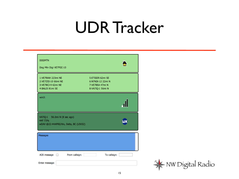#### UDR Tracker

| <b>DOGMTN</b><br>Dog Mtn Digi VE7FGC-10                                                    |                                                                              |
|--------------------------------------------------------------------------------------------|------------------------------------------------------------------------------|
| 1:VE7RAW 223mi NE<br>2:VE7ZIO-10 66mi NE<br>3:VE7BCJ-9 62mi NE<br>4:BALDI 81mi SE          | 5:ETIGER 62mi SE<br>6:N7NDX-12 22mi N<br>7:VE7BSA 47mi N<br>8:VA7IQ-1 56mi N |
| win3:                                                                                      |                                                                              |
| <b>VA7IQ-1</b><br>56.0mi N (8 sec ago)<br>44F 73%<br>wDAV @22:44APRS/Wx, Delta, BC {UIV32} |                                                                              |
| Messages                                                                                   |                                                                              |
| ACK message and From callsign:<br>Enter message:                                           | To callsign:                                                                 |

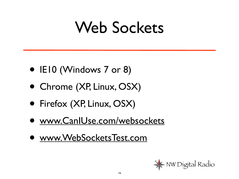#### Web Sockets

- IE10 (Windows 7 or 8)
- Chrome (XP, Linux, OSX)
- Firefox (XP, Linux, OSX)
- [www.CanIUse.com/websockets](http://www.CanIUse.com/websockets)
- [www.WebSocketsTest.com](http://www.WebSocketsTest.com)

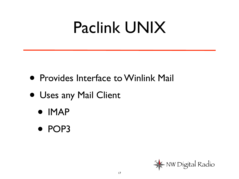#### Paclink UNIX

- Provides Interface to Winlink Mail
- Uses any Mail Client
	- IMAP
	- POP3

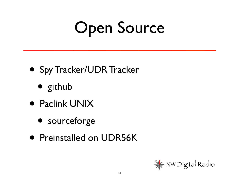# Open Source

- Spy Tracker/UDR Tracker
	- github
- Paclink UNIX
	- sourceforge
- Preinstalled on UDR56K